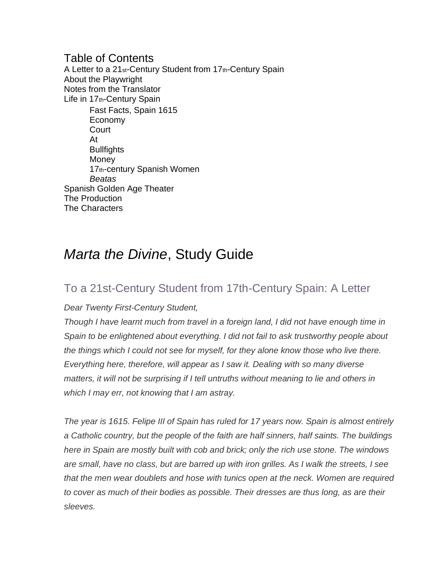### Table of Contents

A Letter to a 21<sub>st</sub>-Century Student from 17<sub>th</sub>-Century Spain About the Playwright Notes from the Translator Life in 17th-Century Spain Fast Facts, Spain 1615 Economy Court At **Bullfights Money** 17th-century Spanish Women *Beatas* Spanish Golden Age Theater The Production The Characters

# *Marta the Divine*, Study Guide

### To a 21st-Century Student from 17th-Century Spain: A Letter

#### *Dear Twenty First-Century Student,*

*Though I have learnt much from travel in a foreign land, I did not have enough time in Spain to be enlightened about everything. I did not fail to ask trustworthy people about the things which I could not see for myself, for they alone know those who live there. Everything here, therefore, will appear as I saw it. Dealing with so many diverse matters, it will not be surprising if I tell untruths without meaning to lie and others in which I may err, not knowing that I am astray.*

*The year is 1615. Felipe III of Spain has ruled for 17 years now. Spain is almost entirely a Catholic country, but the people of the faith are half sinners, half saints. The buildings here in Spain are mostly built with cob and brick; only the rich use stone. The windows are small, have no class, but are barred up with iron grilles. As I walk the streets, I see that the men wear doublets and hose with tunics open at the neck. Women are required to cover as much of their bodies as possible. Their dresses are thus long, as are their sleeves.*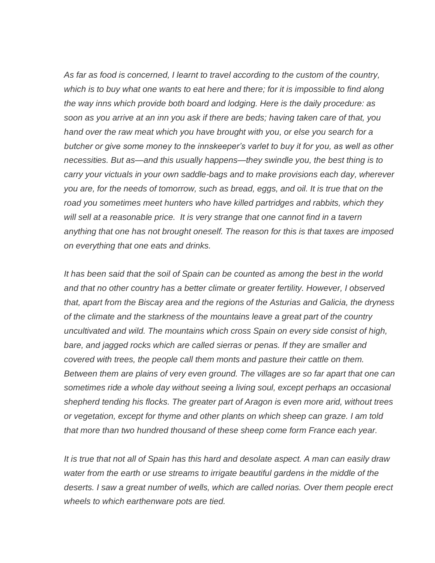*As far as food is concerned, I learnt to travel according to the custom of the country, which is to buy what one wants to eat here and there; for it is impossible to find along the way inns which provide both board and lodging. Here is the daily procedure: as soon as you arrive at an inn you ask if there are beds; having taken care of that, you hand over the raw meat which you have brought with you, or else you search for a butcher or give some money to the innskeeper's varlet to buy it for you, as well as other necessities. But as—and this usually happens—they swindle you, the best thing is to carry your victuals in your own saddle-bags and to make provisions each day, wherever you are, for the needs of tomorrow, such as bread, eggs, and oil. It is true that on the road you sometimes meet hunters who have killed partridges and rabbits, which they will sell at a reasonable price. It is very strange that one cannot find in a tavern anything that one has not brought oneself. The reason for this is that taxes are imposed on everything that one eats and drinks.*

*It has been said that the soil of Spain can be counted as among the best in the world and that no other country has a better climate or greater fertility. However, I observed that, apart from the Biscay area and the regions of the Asturias and Galicia, the dryness of the climate and the starkness of the mountains leave a great part of the country uncultivated and wild. The mountains which cross Spain on every side consist of high, bare, and jagged rocks which are called sierras or penas. If they are smaller and covered with trees, the people call them monts and pasture their cattle on them. Between them are plains of very even ground. The villages are so far apart that one can sometimes ride a whole day without seeing a living soul, except perhaps an occasional shepherd tending his flocks. The greater part of Aragon is even more arid, without trees or vegetation, except for thyme and other plants on which sheep can graze. I am told that more than two hundred thousand of these sheep come form France each year.*

*It is true that not all of Spain has this hard and desolate aspect. A man can easily draw water from the earth or use streams to irrigate beautiful gardens in the middle of the deserts. I saw a great number of wells, which are called norias. Over them people erect wheels to which earthenware pots are tied.*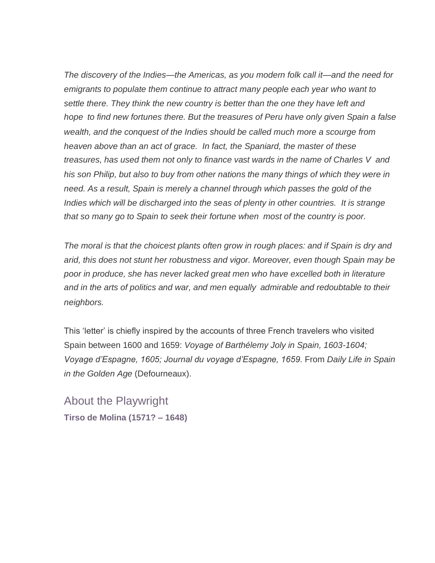*The discovery of the Indies—the Americas, as you modern folk call it—and the need for emigrants to populate them continue to attract many people each year who want to settle there. They think the new country is better than the one they have left and hope to find new fortunes there. But the treasures of Peru have only given Spain a false wealth, and the conquest of the Indies should be called much more a scourge from heaven above than an act of grace. In fact, the Spaniard, the master of these treasures, has used them not only to finance vast wards in the name of Charles V and his son Philip, but also to buy from other nations the many things of which they were in need. As a result, Spain is merely a channel through which passes the gold of the Indies which will be discharged into the seas of plenty in other countries. It is strange that so many go to Spain to seek their fortune when most of the country is poor.*

*The moral is that the choicest plants often grow in rough places: and if Spain is dry and arid, this does not stunt her robustness and vigor. Moreover, even though Spain may be poor in produce, she has never lacked great men who have excelled both in literature and in the arts of politics and war, and men equally admirable and redoubtable to their neighbors.*

This 'letter' is chiefly inspired by the accounts of three French travelers who visited Spain between 1600 and 1659: *Voyage of Barthélemy Joly in Spain, 1603-1604; Voyage d'Espagne, 1605; Journal du voyage d'Espagne, 1659.* From *Daily Life in Spain in the Golden Age* (Defourneaux).

About the Playwright **Tirso de Molina (1571? – 1648)**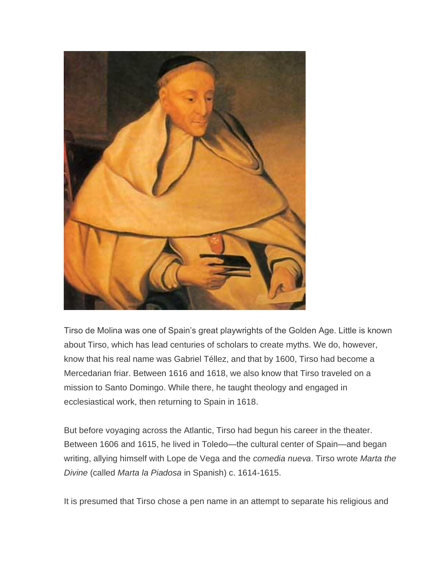

Tirso de Molina was one of Spain's great playwrights of the Golden Age. Little is known about Tirso, which has lead centuries of scholars to create myths. We do, however, know that his real name was Gabriel Téllez, and that by 1600, Tirso had become a Mercedarian friar. Between 1616 and 1618, we also know that Tirso traveled on a mission to Santo Domingo. While there, he taught theology and engaged in ecclesiastical work, then returning to Spain in 1618.

But before voyaging across the Atlantic, Tirso had begun his career in the theater. Between 1606 and 1615, he lived in Toledo—the cultural center of Spain—and began writing, allying himself with Lope de Vega and the *comedia nueva*. Tirso wrote *Marta the Divine* (called *Marta la Piadosa* in Spanish) c. 1614-1615.

It is presumed that Tirso chose a pen name in an attempt to separate his religious and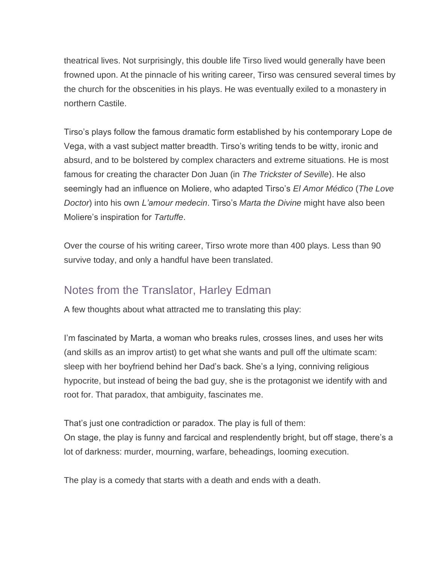theatrical lives. Not surprisingly, this double life Tirso lived would generally have been frowned upon. At the pinnacle of his writing career, Tirso was censured several times by the church for the obscenities in his plays. He was eventually exiled to a monastery in northern Castile.

Tirso's plays follow the famous dramatic form established by his contemporary Lope de Vega, with a vast subject matter breadth. Tirso's writing tends to be witty, ironic and absurd, and to be bolstered by complex characters and extreme situations. He is most famous for creating the character Don Juan (in *The Trickster of Seville*). He also seemingly had an influence on Moliere, who adapted Tirso's *El Amor Médico* (*The Love Doctor*) into his own *L'amour medecin*. Tirso's *Marta the Divine* might have also been Moliere's inspiration for *Tartuffe*.

Over the course of his writing career, Tirso wrote more than 400 plays. Less than 90 survive today, and only a handful have been translated.

### Notes from the Translator, Harley Edman

A few thoughts about what attracted me to translating this play:

I'm fascinated by Marta, a woman who breaks rules, crosses lines, and uses her wits (and skills as an improv artist) to get what she wants and pull off the ultimate scam: sleep with her boyfriend behind her Dad's back. She's a lying, conniving religious hypocrite, but instead of being the bad guy, she is the protagonist we identify with and root for. That paradox, that ambiguity, fascinates me.

That's just one contradiction or paradox. The play is full of them: On stage, the play is funny and farcical and resplendently bright, but off stage, there's a lot of darkness: murder, mourning, warfare, beheadings, looming execution.

The play is a comedy that starts with a death and ends with a death.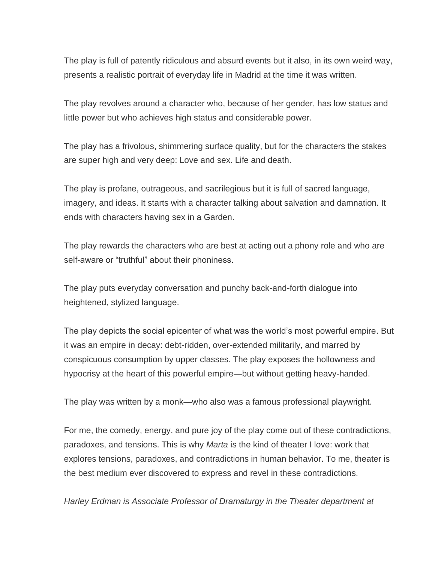The play is full of patently ridiculous and absurd events but it also, in its own weird way, presents a realistic portrait of everyday life in Madrid at the time it was written.

The play revolves around a character who, because of her gender, has low status and little power but who achieves high status and considerable power.

The play has a frivolous, shimmering surface quality, but for the characters the stakes are super high and very deep: Love and sex. Life and death.

The play is profane, outrageous, and sacrilegious but it is full of sacred language, imagery, and ideas. It starts with a character talking about salvation and damnation. It ends with characters having sex in a Garden.

The play rewards the characters who are best at acting out a phony role and who are self-aware or "truthful" about their phoniness.

The play puts everyday conversation and punchy back-and-forth dialogue into heightened, stylized language.

The play depicts the social epicenter of what was the world's most powerful empire. But it was an empire in decay: debt-ridden, over-extended militarily, and marred by conspicuous consumption by upper classes. The play exposes the hollowness and hypocrisy at the heart of this powerful empire—but without getting heavy-handed.

The play was written by a monk—who also was a famous professional playwright.

For me, the comedy, energy, and pure joy of the play come out of these contradictions, paradoxes, and tensions. This is why *Marta* is the kind of theater I love: work that explores tensions, paradoxes, and contradictions in human behavior. To me, theater is the best medium ever discovered to express and revel in these contradictions.

*Harley Erdman is Associate Professor of Dramaturgy in the Theater department at*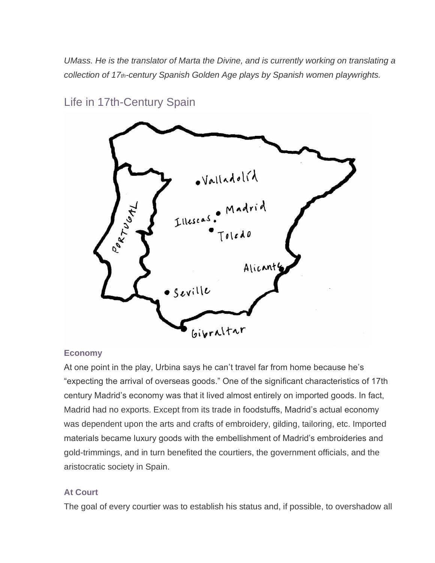*UMass. He is the translator of Marta the Divine, and is currently working on translating a collection of 17th-century Spanish Golden Age plays by Spanish women playwrights.*



### Life in 17th-Century Spain

#### **Economy**

At one point in the play, Urbina says he can't travel far from home because he's "expecting the arrival of overseas goods." One of the significant characteristics of 17th century Madrid's economy was that it lived almost entirely on imported goods. In fact, Madrid had no exports. Except from its trade in foodstuffs, Madrid's actual economy was dependent upon the arts and crafts of embroidery, gilding, tailoring, etc. Imported materials became luxury goods with the embellishment of Madrid's embroideries and gold-trimmings, and in turn benefited the courtiers, the government officials, and the aristocratic society in Spain.

#### **At Court**

The goal of every courtier was to establish his status and, if possible, to overshadow all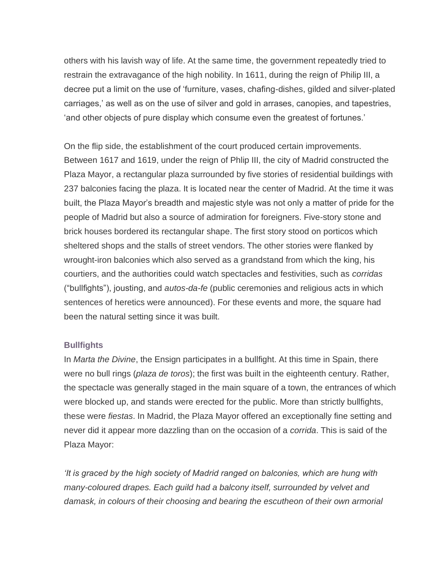others with his lavish way of life. At the same time, the government repeatedly tried to restrain the extravagance of the high nobility. In 1611, during the reign of Philip III, a decree put a limit on the use of 'furniture, vases, chafing-dishes, gilded and silver-plated carriages,' as well as on the use of silver and gold in arrases, canopies, and tapestries, 'and other objects of pure display which consume even the greatest of fortunes.'

On the flip side, the establishment of the court produced certain improvements. Between 1617 and 1619, under the reign of Phlip III, the city of Madrid constructed the Plaza Mayor, a rectangular plaza surrounded by five stories of residential buildings with 237 balconies facing the plaza. It is located near the center of Madrid. At the time it was built, the Plaza Mayor's breadth and majestic style was not only a matter of pride for the people of Madrid but also a source of admiration for foreigners. Five-story stone and brick houses bordered its rectangular shape. The first story stood on porticos which sheltered shops and the stalls of street vendors. The other stories were flanked by wrought-iron balconies which also served as a grandstand from which the king, his courtiers, and the authorities could watch spectacles and festivities, such as *corridas* ("bullfights"), jousting, and *autos-da-fe* (public ceremonies and religious acts in which sentences of heretics were announced). For these events and more, the square had been the natural setting since it was built.

#### **Bullfights**

In *Marta the Divine*, the Ensign participates in a bullfight. At this time in Spain, there were no bull rings (*plaza de toros*); the first was built in the eighteenth century. Rather, the spectacle was generally staged in the main square of a town, the entrances of which were blocked up, and stands were erected for the public. More than strictly bullfights, these were *fiestas*. In Madrid, the Plaza Mayor offered an exceptionally fine setting and never did it appear more dazzling than on the occasion of a *corrida*. This is said of the Plaza Mayor:

*'It is graced by the high society of Madrid ranged on balconies, which are hung with many-coloured drapes. Each guild had a balcony itself, surrounded by velvet and damask, in colours of their choosing and bearing the escutheon of their own armorial*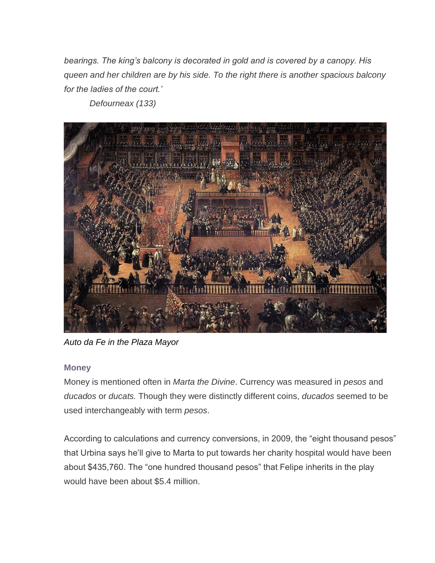*bearings. The king's balcony is decorated in gold and is covered by a canopy. His queen and her children are by his side. To the right there is another spacious balcony for the ladies of the court.'*

*Defourneax (133)*



*Auto da Fe in the Plaza Mayor*

#### **Money**

Money is mentioned often in *Marta the Divine*. Currency was measured in *pesos* and *ducados* or *ducats.* Though they were distinctly different coins, *ducados* seemed to be used interchangeably with term *pesos*.

According to calculations and currency conversions, in 2009, the "eight thousand pesos" that Urbina says he'll give to Marta to put towards her charity hospital would have been about \$435,760. The "one hundred thousand pesos" that Felipe inherits in the play would have been about \$5.4 million.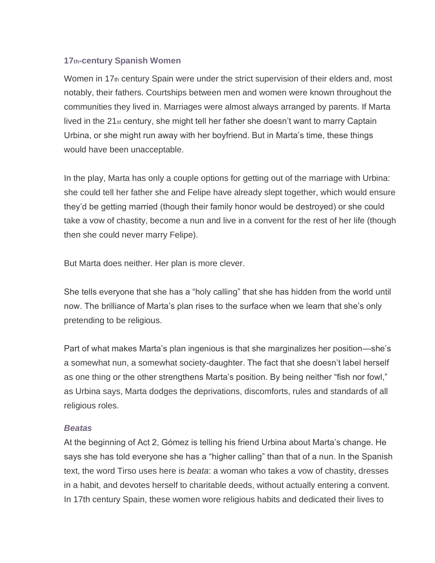#### **17th-century Spanish Women**

Women in 17th century Spain were under the strict supervision of their elders and, most notably, their fathers. Courtships between men and women were known throughout the communities they lived in. Marriages were almost always arranged by parents. If Marta lived in the 21st century, she might tell her father she doesn't want to marry Captain Urbina, or she might run away with her boyfriend. But in Marta's time, these things would have been unacceptable.

In the play, Marta has only a couple options for getting out of the marriage with Urbina: she could tell her father she and Felipe have already slept together, which would ensure they'd be getting married (though their family honor would be destroyed) or she could take a vow of chastity, become a nun and live in a convent for the rest of her life (though then she could never marry Felipe).

But Marta does neither. Her plan is more clever.

She tells everyone that she has a "holy calling" that she has hidden from the world until now. The brilliance of Marta's plan rises to the surface when we learn that she's only pretending to be religious.

Part of what makes Marta's plan ingenious is that she marginalizes her position—she's a somewhat nun, a somewhat society-daughter. The fact that she doesn't label herself as one thing or the other strengthens Marta's position. By being neither "fish nor fowl," as Urbina says, Marta dodges the deprivations, discomforts, rules and standards of all religious roles.

#### *Beatas*

At the beginning of Act 2, Gómez is telling his friend Urbina about Marta's change. He says she has told everyone she has a "higher calling" than that of a nun. In the Spanish text, the word Tirso uses here is *beata*: a woman who takes a vow of chastity, dresses in a habit, and devotes herself to charitable deeds, without actually entering a convent. In 17th century Spain, these women wore religious habits and dedicated their lives to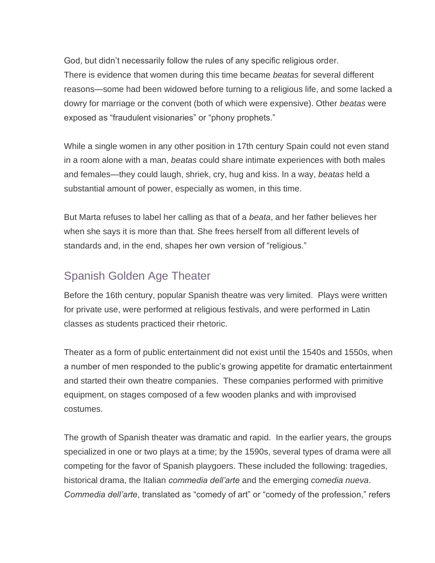God, but didn't necessarily follow the rules of any specific religious order. There is evidence that women during this time became *beatas* for several different reasons—some had been widowed before turning to a religious life, and some lacked a dowry for marriage or the convent (both of which were expensive). Other *beatas* were exposed as "fraudulent visionaries" or "phony prophets."

While a single women in any other position in 17th century Spain could not even stand in a room alone with a man, *beatas* could share intimate experiences with both males and females—they could laugh, shriek, cry, hug and kiss. In a way, *beatas* held a substantial amount of power, especially as women, in this time.

But Marta refuses to label her calling as that of a *beata*, and her father believes her when she says it is more than that. She frees herself from all different levels of standards and, in the end, shapes her own version of "religious."

### Spanish Golden Age Theater

Before the 16th century, popular Spanish theatre was very limited. Plays were written for private use, were performed at religious festivals, and were performed in Latin classes as students practiced their rhetoric.

Theater as a form of public entertainment did not exist until the 1540s and 1550s, when a number of men responded to the public's growing appetite for dramatic entertainment and started their own theatre companies. These companies performed with primitive equipment, on stages composed of a few wooden planks and with improvised costumes.

The growth of Spanish theater was dramatic and rapid. In the earlier years, the groups specialized in one or two plays at a time; by the 1590s, several types of drama were all competing for the favor of Spanish playgoers. These included the following: tragedies, historical drama, the Italian *commedia dell'arte* and the emerging *comedia nueva*. *Commedia dell'arte*, translated as "comedy of art" or "comedy of the profession," refers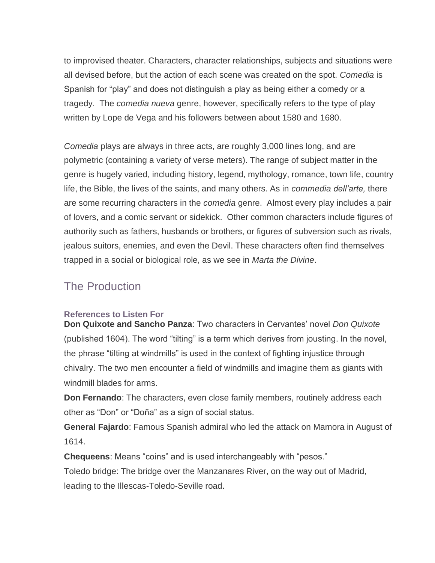to improvised theater. Characters, character relationships, subjects and situations were all devised before, but the action of each scene was created on the spot. *Comedia* is Spanish for "play" and does not distinguish a play as being either a comedy or a tragedy. The *comedia nueva* genre, however, specifically refers to the type of play written by Lope de Vega and his followers between about 1580 and 1680.

*Comedia* plays are always in three acts, are roughly 3,000 lines long, and are polymetric (containing a variety of verse meters). The range of subject matter in the genre is hugely varied, including history, legend, mythology, romance, town life, country life, the Bible, the lives of the saints, and many others. As in *commedia dell'arte,* there are some recurring characters in the *comedia* genre. Almost every play includes a pair of lovers, and a comic servant or sidekick. Other common characters include figures of authority such as fathers, husbands or brothers, or figures of subversion such as rivals, jealous suitors, enemies, and even the Devil. These characters often find themselves trapped in a social or biological role, as we see in *Marta the Divine*.

### The Production

#### **References to Listen For**

**Don Quixote and Sancho Panza**: Two characters in Cervantes' novel *Don Quixote* (published 1604). The word "tilting" is a term which derives from jousting. In the novel, the phrase "tilting at windmills" is used in the context of fighting injustice through chivalry. The two men encounter a field of windmills and imagine them as giants with windmill blades for arms.

**Don Fernando**: The characters, even close family members, routinely address each other as "Don" or "Doña" as a sign of social status.

**General Fajardo**: Famous Spanish admiral who led the attack on Mamora in August of 1614.

**Chequeens**: Means "coins" and is used interchangeably with "pesos."

Toledo bridge: The bridge over the Manzanares River, on the way out of Madrid, leading to the Illescas-Toledo-Seville road.